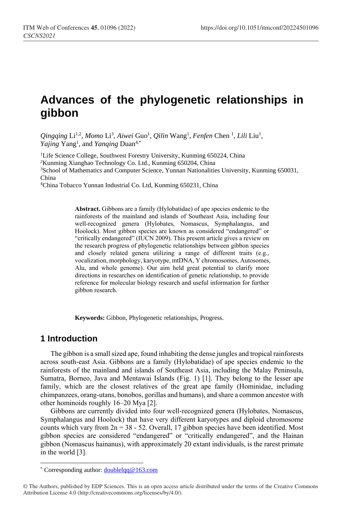# **Advances of the phylogenetic relationships in gibbon**

Qingqing Li<sup>1,2</sup>, Momo Li<sup>3</sup>, Aiwei Guo<sup>1</sup>, Qilin Wang<sup>1</sup>, Fenfen Chen<sup>1</sup>, Lili Liu<sup>1</sup>, *Yajing* Yang<sup>1</sup>, and *Yanqing* Duan<sup>4,\*</sup>

<sup>1</sup>Life Science College, Southwest Forestry University, Kunming 650224, China <sup>2</sup>Kunming Xianghao Technology Co. Ltd., Kunming 650204, China <sup>3</sup>School of Mathematics and Computer Science, Yunnan Nationalities University, Kunming 650031, China

<sup>4</sup>China Tobacco Yunnan Industrial Co. Ltd, Kunming 650231, China

**Abstract.** Gibbons are a family (Hylobatidae) of ape species endemic to the rainforests of the mainland and islands of Southeast Asia, including four well-recognized genera (Hylobates, Nomascus, Symphalangus, and Hoolock). Most gibbon species are known as considered "endangered" or "critically endangered" (IUCN 2009). This present article gives a review on the research progress of phylogenetic relationships between gibbon species and closely related genera utilizing a range of different traits (e.g., vocalization, morphology, karyotype, mtDNA, Y chromosomes, Autosomes, Alu, and whole genome). Our aim held great potential to clarify more directions in researches on identification of genetic relationship, to provide reference for molecular biology research and useful information for further gibbon research.

**Keywords:** Gibbon, Phylogenetic relationships, Progress.

#### **1 Introduction**

 $\overline{a}$ 

The gibbon is a small sized ape, found inhabiting the dense jungles and tropical rainforests across south-east Asia. Gibbons are a family (Hylobatidae) of ape species endemic to the rainforests of the mainland and islands of Southeast Asia, including the Malay Peninsula, Sumatra, Borneo, Java and Mentawai Islands (Fig. 1) [1]. They belong to the lesser ape family, which are the closest relatives of the great ape family (Hominidae, including chimpanzees, orang-utans, bonobos, gorillas and humans), and share a common ancestor with other hominoids roughly 16–20 Mya [2].

Gibbons are currently divided into four well-recognized genera (Hylobates, Nomascus, Symphalangus and Hoolock) that have very different karyotypes and diploid chromosome counts which vary from  $2n = 38 - 52$ . Overall, 17 gibbon species have been identified. Most gibbon species are considered "endangered" or "critically endangered", and the Hainan gibbon (Nomascus hainanus), with approximately 20 extant individuals, is the rarest primate in the world [3].

<sup>\*</sup> Corresponding author[: doublelqq@163.com](mailto:doublelqq@163.com)

<sup>©</sup> The Authors, published by EDP Sciences. This is an open access article distributed under the terms of the Creative Commons Attribution License 4.0 (http://creativecommons.org/licenses/by/4.0/).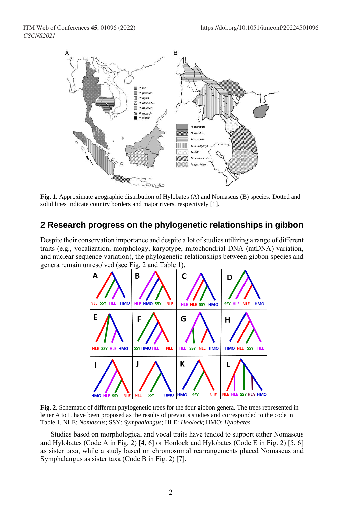

**Fig. 1**. Approximate geographic distribution of Hylobates (A) and Nomascus (B) species. Dotted and solid lines indicate country borders and major rivers, respectively [1].

#### **2 Research progress on the phylogenetic relationships in gibbon**

Despite their conservation importance and despite a lot of studies utilizing a range of different traits (e.g., vocalization, morphology, karyotype, mitochondrial DNA (mtDNA) variation, and nuclear sequence variation), the phylogenetic relationships between gibbon species and genera remain unresolved (see Fig. 2 and Table 1).



**Fig. 2**. Schematic of different phylogenetic trees for the four gibbon genera. The trees represented in letter A to L have been proposed as the results of previous studies and corresponded to the code in Table 1. NLE: *Nomascus*; SSY: *Symphalangus*; HLE: *Hoolock*; HMO: *Hylobates*.

Studies based on morphological and vocal traits have tended to support either Nomascus and Hylobates (Code A in Fig. 2) [4, 6] or Hoolock and Hylobates (Code E in Fig. 2) [5, 6] as sister taxa, while a study based on chromosomal rearrangements placed Nomascus and Symphalangus as sister taxa (Code B in Fig. 2) [7].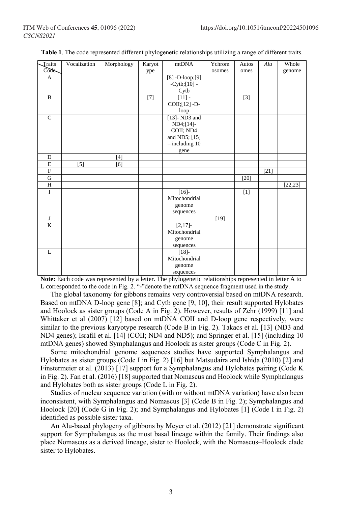| Traits                | Vocalization | Morphology | Karyot | mtDNA                          | Ychrom | Autos | Alu    | Whole    |
|-----------------------|--------------|------------|--------|--------------------------------|--------|-------|--------|----------|
| Code-                 |              |            | ype    |                                | osomes | omes  |        | genome   |
| A                     |              |            |        | $\overline{[8] - D}$ -loop;[9] |        |       |        |          |
|                       |              |            |        | $-Cytb$ ; $[10] -$             |        |       |        |          |
|                       |              |            |        | Cytb                           |        |       |        |          |
| $\mathbf B$           |              |            | $[7]$  | $[11]$ -                       |        | $[3]$ |        |          |
|                       |              |            |        | $COII$ ; $[12]$ -D-            |        |       |        |          |
|                       |              |            |        | loop                           |        |       |        |          |
| $\mathsf{C}$          |              |            |        | $[13]$ - ND3 and               |        |       |        |          |
|                       |              |            |        | ND4; [14]                      |        |       |        |          |
|                       |              |            |        | COII; ND4                      |        |       |        |          |
|                       |              |            |        | and ND5; [15]                  |        |       |        |          |
|                       |              |            |        | $-$ including 10               |        |       |        |          |
|                       |              |            |        | gene                           |        |       |        |          |
| D                     |              | $[4]$      |        |                                |        |       |        |          |
| $\mathbf E$           | $[5]$        | $[6]$      |        |                                |        |       |        |          |
| ${\bf F}$             |              |            |        |                                |        |       | $[21]$ |          |
| G                     |              |            |        |                                |        | [20]  |        |          |
| H                     |              |            |        |                                |        |       |        | [22, 23] |
| I                     |              |            |        | [16]                           |        | $[1]$ |        |          |
|                       |              |            |        | Mitochondrial                  |        |       |        |          |
|                       |              |            |        | genome                         |        |       |        |          |
|                       |              |            |        | sequences                      |        |       |        |          |
| $\mathbf{J}$          |              |            |        |                                | $[19]$ |       |        |          |
| $\overline{\text{K}}$ |              |            |        | $[2,17]$ -                     |        |       |        |          |
|                       |              |            |        | Mitochondrial                  |        |       |        |          |
|                       |              |            |        | genome                         |        |       |        |          |
|                       |              |            |        | sequences                      |        |       |        |          |
| L                     |              |            |        | $[18]$ -                       |        |       |        |          |
|                       |              |            |        | Mitochondrial                  |        |       |        |          |
|                       |              |            |        | genome                         |        |       |        |          |
|                       |              |            |        | sequences                      |        |       |        |          |

**Table 1**. The code represented different phylogenetic relationships utilizing a range of different traits.

**Note:** Each code was represented by a letter. The phylogenetic relationships represented in letter A to L corresponded to the code in Fig. 2. "**-**"denote the mtDNA sequence fragment used in the study.

The global taxonomy for gibbons remains very controversial based on mtDNA research. Based on mtDNA D-loop gene [8]; and Cytb gene [9, 10], their result supported Hylobates and Hoolock as sister groups (Code A in Fig. 2). However, results of Zehr (1999) [11] and Whittaker et al (2007) [12] based on mtDNA COII and D-loop gene respectively, were similar to the previous karyotype research (Code B in Fig. 2). Takacs et al. [13] (ND3 and ND4 genes); Israfil et al. [14] (COII; ND4 and ND5); and Springer et al. [15] (including 10 mtDNA genes) showed Symphalangus and Hoolock as sister groups (Code C in Fig. 2).

Some mitochondrial genome sequences studies have supported Symphalangus and Hylobates as sister groups (Code I in Fig. 2) [16] but Matsudaira and Ishida (2010) [2] and Finstermeier et al. (2013) [17] support for a Symphalangus and Hylobates pairing (Code K in Fig. 2). Fan et al. (2016) [18] supported that Nomascus and Hoolock while Symphalangus and Hylobates both as sister groups (Code L in Fig. 2).

Studies of nuclear sequence variation (with or without mtDNA variation) have also been inconsistent, with Symphalangus and Nomascus [3] (Code B in Fig. 2); Symphalangus and Hoolock [20] (Code G in Fig. 2); and Symphalangus and Hylobates [1] (Code I in Fig. 2) identified as possible sister taxa.

An Alu-based phylogeny of gibbons by Meyer et al. (2012) [21] demonstrate significant support for Symphalangus as the most basal lineage within the family. Their findings also place Nomascus as a derived lineage, sister to Hoolock, with the Nomascus–Hoolock clade sister to Hylobates.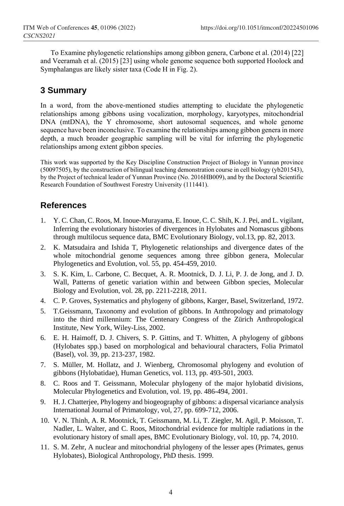To Examine phylogenetic relationships among gibbon genera, Carbone et al. (2014) [22] and Veeramah et al. (2015) [23] using whole genome sequence both supported Hoolock and Symphalangus are likely sister taxa (Code H in Fig. 2).

## **3 Summary**

In a word, from the above-mentioned studies attempting to elucidate the phylogenetic relationships among gibbons using vocalization, morphology, karyotypes, mitochondrial DNA (mtDNA), the Y chromosome, short autosomal sequences, and whole genome sequence have been inconclusive. To examine the relationships among gibbon genera in more depth, a much broader geographic sampling will be vital for inferring the phylogenetic relationships among extent gibbon species.

This work was supported by the Key Discipline Construction Project of Biology in Yunnan province (50097505), by the construction of bilingual teaching demonstration course in cell biology (yb201543), by the Project of technical leader of Yunnan Province (No. 2016HB009), and by the Doctoral Scientific Research Foundation of Southwest Forestry University (111441).

### **References**

- 1. Y. C. Chan, C. Roos, M. Inoue-Murayama, E. Inoue, C. C. Shih, K. J. Pei, and L. vigilant, Inferring the evolutionary histories of divergences in Hylobates and Nomascus gibbons through multilocus sequence data, BMC Evolutionary Biology, vol.13, pp. 82, 2013.
- 2. K. Matsudaira and Ishida T, Phylogenetic relationships and divergence dates of the whole mitochondrial genome sequences among three gibbon genera, Molecular Phylogenetics and Evolution, vol. 55, pp. 454-459, 2010.
- 3. S. K. Kim, L. Carbone, C. Becquet, A. R. Mootnick, D. J. Li, P. J. de Jong, and J. D. Wall, Patterns of genetic variation within and between Gibbon species, Molecular Biology and Evolution, vol. 28, pp. 2211-2218, 2011.
- 4. C. P. Groves, Systematics and phylogeny of gibbons, Karger, Basel, Switzerland, 1972.
- 5. T.Geissmann, Taxonomy and evolution of gibbons. In Anthropology and primatology into the third millennium: The Centenary Congress of the Zürich Anthropological Institute, New York, Wiley-Liss, 2002.
- 6. E. H. Haimoff, D. J. Chivers, S. P. Gittins, and T. Whitten, A phylogeny of gibbons (Hylobates spp.) based on morphological and behavioural characters, Folia Primatol (Basel), vol. 39, pp. 213-237, 1982.
- 7. S. Müller, M. Hollatz, and J. Wienberg, Chromosomal phylogeny and evolution of gibbons (Hylobatidae), Human Genetics, vol. 113, pp. 493-501, 2003.
- 8. C. Roos and T. Geissmann, Molecular phylogeny of the major hylobatid divisions, Molecular Phylogenetics and Evolution, vol. 19, pp. 486-494, 2001.
- 9. H. J. Chatterjee, Phylogeny and biogeography of gibbons: a dispersal vicariance analysis International Journal of Primatology, vol, 27, pp. 699-712, 2006.
- 10. V. N. Thinh, A. R. Mootnick, T. Geissmann, M. Li, T. Ziegler, M. Agil, P. Moisson, T. Nadler, L. Walter, and C. Roos, Mitochondrial evidence for multiple radiations in the evolutionary history of small apes, BMC Evolutionary Biology, vol. 10, pp. 74, 2010.
- 11. S. M. Zehr, A nuclear and mitochondrial phylogeny of the lesser apes (Primates, genus Hylobates), Biological Anthropology, PhD thesis. 1999.